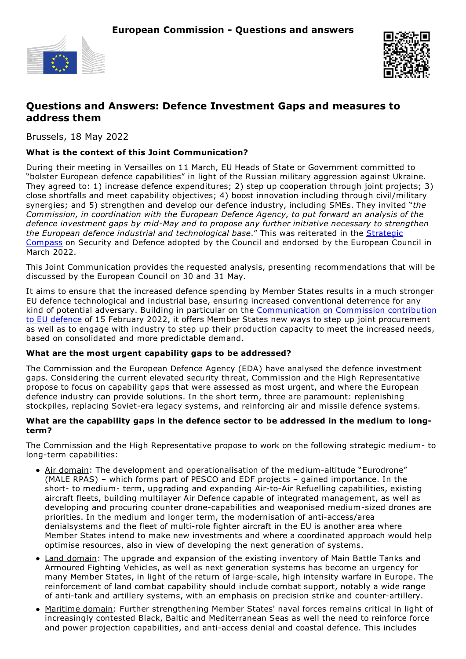



## **Questions and Answers: Defence Investment Gaps and measures to address them**

Brussels, 18 May 2022

### **What is the context of this Joint Communication?**

During their meeting in Versailles on 11 March, EU Heads of State or Government committed to "bolster European defence capabilities" in light of the Russian military aggression against Ukraine. They agreed to: 1) increase defence expenditures; 2) step up cooperation through joint projects; 3) close shortfalls and meet capability objectives; 4) boost innovation including through civil/military synergies; and 5) strengthen and develop our defence industry, including SMEs. They invited "*the Commission, in coordination with the European Defence Agency, to put forward an analysis of the defence investment gaps by mid-May and to propose any further initiative necessary to strengthen the European defence industrial and [technological](https://www.eeas.europa.eu/eeas/strategic-compass-security-and-defence-1_en) base*." This was reiterated in the Strategic Compass on Security and Defence adopted by the Council and endorsed by the European Council in March 2022.

This Joint Communication provides the requested analysis, presenting recommendations that will be discussed by the European Council on 30 and 31 May.

It aims to ensure that the increased defence spending by Member States results in a much stronger EU defence technological and industrial base, ensuring increased conventional deterrence for any kind of potential adversary. Building in particular on the [Communication](https://ec.europa.eu/commission/presscorner/detail/en/IP_22_924) on Commission contribution to EU defence of 15 February 2022, it offers Member States new ways to step up joint procurement as well as to engage with industry to step up their production capacity to meet the increased needs, based on consolidated and more predictable demand.

#### **What are the most urgent capability gaps to be addressed?**

The Commission and the European Defence Agency (EDA) have analysed the defence investment gaps. Considering the current elevated security threat, Commission and the High Representative propose to focus on capability gaps that were assessed as most urgent, and where the European defence industry can provide solutions. In the short term, three are paramount: replenishing stockpiles, replacing Soviet-era legacy systems, and reinforcing air and missile defence systems.

#### **What are the capability gaps in the defence sector to be addressed in the medium to longterm?**

The Commission and the High Representative propose to work on the following strategic medium- to long-term capabilities:

- Air domain: The development and operationalisation of the medium-altitude "Eurodrone" (MALE RPAS) – which forms part of PESCO and EDF projects – gained importance. In the short- to medium- term, upgrading and expanding Air-to-Air Refuelling capabilities, existing aircraft fleets, building multilayer Air Defence capable of integrated management, as well as developing and procuring counter drone-capabilities and weaponised medium-sized drones are priorities. In the medium and longer term, the modernisation of anti-access/area denialsystems and the fleet of multi-role fighter aircraft in the EU is another area where Member States intend to make new investments and where a coordinated approach would help optimise resources, also in view of developing the next generation of systems.
- Land domain: The upgrade and expansion of the existing inventory of Main Battle Tanks and Armoured Fighting Vehicles, as well as next generation systems has become an urgency for many Member States, in light of the return of large-scale, high intensity warfare in Europe. The reinforcement of land combat capability should include combat support, notably a wide range of anti-tank and artillery systems, with an emphasis on precision strike and counter-artillery.
- Maritime domain: Further strengthening Member States' naval forces remains critical in light of increasingly contested Black, Baltic and Mediterranean Seas as well the need to reinforce force and power projection capabilities, and anti-access denial and coastal defence. This includes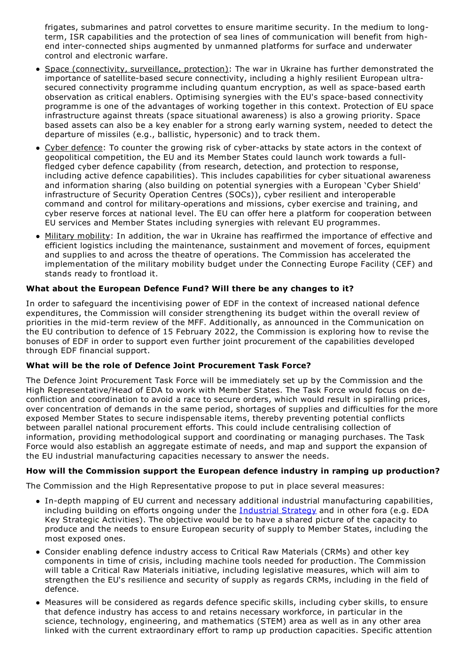frigates, submarines and patrol corvettes to ensure maritime security. In the medium to longterm, ISR capabilities and the protection of sea lines of communication will benefit from highend inter-connected ships augmented by unmanned platforms for surface and underwater control and electronic warfare.

- Space (connectivity, surveillance, protection): The war in Ukraine has further demonstrated the importance of satellite-based secure connectivity, including a highly resilient European ultrasecured connectivity programme including quantum encryption, as well as space-based earth observation as critical enablers. Optimising synergies with the EU's space-based connectivity programme is one of the advantages of working together in this context. Protection of EU space infrastructure against threats (space situational awareness) is also a growing priority. Space based assets can also be a key enabler for a strong early warning system, needed to detect the departure of missiles (e.g., ballistic, hypersonic) and to track them.
- Cyber defence: To counter the growing risk of cyber-attacks by state actors in the context of geopolitical competition, the EU and its Member States could launch work towards a fullfledged cyber defence capability (from research, detection, and protection to response, including active defence capabilities). This includes capabilities for cyber situational awareness and information sharing (also building on potential synergies with a European 'Cyber Shield' infrastructure of Security Operation Centres (SOCs)), cyber resilient and interoperable command and control for military operations and missions, cyber exercise and training, and cyber reserve forces at national level. The EU can offer here a platform for cooperation between EU services and Member States including synergies with relevant EU programmes.
- Military mobility: In addition, the war in Ukraine has reaffirmed the importance of effective and efficient logistics including the maintenance, sustainment and movement of forces, equipment and supplies to and across the theatre of operations. The Commission has accelerated the implementation of the military mobility budget under the Connecting Europe Facility (CEF) and stands ready to frontload it.

## **What about the European Defence Fund? Will there be any changes to it?**

In order to safeguard the incentivising power of EDF in the context of increased national defence expenditures, the Commission will consider strengthening its budget within the overall review of priorities in the mid-term review of the MFF. Additionally, as announced in the Communication on the EU contribution to defence of 15 February 2022, the Commission is exploring how to revise the bonuses of EDF in order to support even further joint procurement of the capabilities developed through EDF financial support.

## **What will be the role of Defence Joint Procurement Task Force?**

The Defence Joint Procurement Task Force will be immediately set up by the Commission and the High Representative/Head of EDA to work with Member States. The Task Force would focus on deconfliction and coordination to avoid a race to secure orders, which would result in spiralling prices, over concentration of demands in the same period, shortages of supplies and difficulties for the more exposed Member States to secure indispensable items, thereby preventing potential conflicts between parallel national procurement efforts. This could include centralising collection of information, providing methodological support and coordinating or managing purchases. The Task Force would also establish an aggregate estimate of needs, and map and support the expansion of the EU industrial manufacturing capacities necessary to answer the needs.

## **How will the Commission support the European defence industry in ramping up production?**

The Commission and the High Representative propose to put in place several measures:

- In-depth mapping of EU current and necessary additional industrial manufacturing capabilities, including building on efforts ongoing under the [Industrial](https://ec.europa.eu/info/strategy/priorities-2019-2024/europe-fit-digital-age/european-industrial-strategy_en) Strategy and in other fora (e.g. EDA Key Strategic Activities). The objective would be to have a shared picture of the capacity to produce and the needs to ensure European security of supply to Member States, including the most exposed ones.
- Consider enabling defence industry access to Critical Raw Materials (CRMs) and other key components in time of crisis, including machine tools needed for production. The Commission will table a Critical Raw Materials initiative, including legislative measures, which will aim to strengthen the EU's resilience and security of supply as regards CRMs, including in the field of defence.
- Measures will be considered as regards defence specific skills, including cyber skills, to ensure that defence industry has access to and retains necessary workforce, in particular in the science, technology, engineering, and mathematics (STEM) area as well as in any other area linked with the current extraordinary effort to ramp up production capacities. Specific attention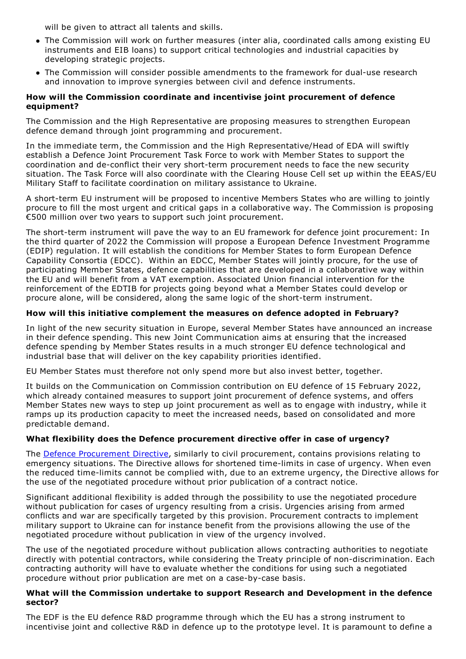will be given to attract all talents and skills.

- The Commission will work on further measures (inter alia, coordinated calls among existing EU instruments and EIB loans) to support critical technologies and industrial capacities by developing strategic projects.
- The Commission will consider possible amendments to the framework for dual-use research and innovation to improve synergies between civil and defence instruments.

#### **How will the Commission coordinate and incentivise joint procurement of defence equipment?**

The Commission and the High Representative are proposing measures to strengthen European defence demand through joint programming and procurement.

In the immediate term, the Commission and the High Representative/Head of EDA will swiftly establish a Defence Joint Procurement Task Force to work with Member States to support the coordination and de-conflict their very short-term procurement needs to face the new security situation. The Task Force will also coordinate with the Clearing House Cell set up within the EEAS/EU Military Staff to facilitate coordination on military assistance to Ukraine.

A short-term EU instrument will be proposed to incentive Members States who are willing to jointly procure to fill the most urgent and critical gaps in a collaborative way. The Commission is proposing €500 million over two years to support such joint procurement.

The short-term instrument will pave the way to an EU framework for defence joint procurement: In the third quarter of 2022 the Commission will propose a European Defence Investment Programme (EDIP) regulation. It will establish the conditions for Member States to form European Defence Capability Consortia (EDCC). Within an EDCC, Member States will jointly procure, for the use of participating Member States, defence capabilities that are developed in a collaborative way within the EU and will benefit from a VAT exemption. Associated Union financial intervention for the reinforcement of the EDTIB for projects going beyond what a Member States could develop or procure alone, will be considered, along the same logic of the short-term instrument.

#### **How will this initiative complement the measures on defence adopted in February?**

In light of the new security situation in Europe, several Member States have announced an increase in their defence spending. This new Joint Communication aims at ensuring that the increased defence spending by Member States results in a much stronger EU defence technological and industrial base that will deliver on the key capability priorities identified.

EU Member States must therefore not only spend more but also invest better, together.

It builds on the Communication on Commission contribution on EU defence of 15 February 2022, which already contained measures to support joint procurement of defence systems, and offers Member States new ways to step up joint procurement as well as to engage with industry, while it ramps up its production capacity to meet the increased needs, based on consolidated and more predictable demand.

## **What flexibility does the Defence procurement directive offer in case of urgency?**

The Defence [Procurement](https://eur-lex.europa.eu/legal-content/EN/TXT/?uri=celex%253A32009L0081) Directive, similarly to civil procurement, contains provisions relating to emergency situations. The Directive allows for shortened time-limits in case of urgency. When even the reduced time-limits cannot be complied with, due to an extreme urgency, the Directive allows for the use of the negotiated procedure without prior publication of a contract notice.

Significant additional flexibility is added through the possibility to use the negotiated procedure without publication for cases of urgency resulting from a crisis. Urgencies arising from armed conflicts and war are specifically targeted by this provision. Procurement contracts to implement military support to Ukraine can for instance benefit from the provisions allowing the use of the negotiated procedure without publication in view of the urgency involved.

The use of the negotiated procedure without publication allows contracting authorities to negotiate directly with potential contractors, while considering the Treaty principle of non-discrimination. Each contracting authority will have to evaluate whether the conditions for using such a negotiated procedure without prior publication are met on a case-by-case basis.

#### **What will the Commission undertake to support Research and Development in the defence sector?**

The EDF is the EU defence R&D programme through which the EU has a strong instrument to incentivise joint and collective R&D in defence up to the prototype level. It is paramount to define a